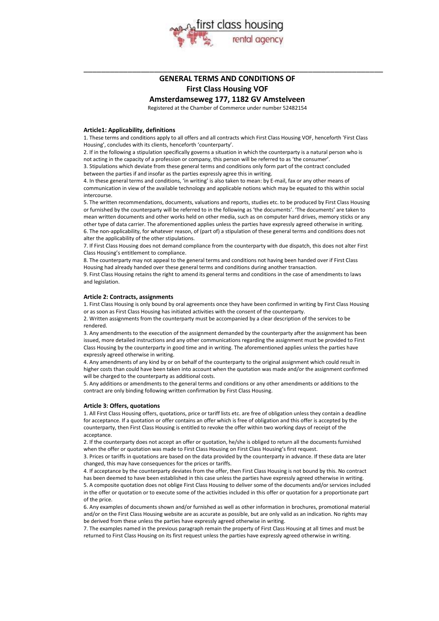

# **GENERAL TERMS AND CONDITIONS OF First Class Housing VOF**

\_\_\_\_\_\_\_\_\_\_\_\_\_\_\_\_\_\_\_\_\_\_\_\_\_\_\_\_\_\_\_\_\_\_\_\_\_\_\_\_\_\_\_\_\_\_\_\_\_\_\_\_\_\_\_\_\_\_\_\_\_\_\_\_\_\_\_\_

**Amsterdamseweg 177, 1182 GV Amstelveen**

Registered at the Chamber of Commerce under number 52482154

# **Article1: Applicability, definitions**

1. These terms and conditions apply to all offers and all contracts which First Class Housing VOF, henceforth 'First Class Housing', concludes with its clients, henceforth 'counterparty'.

2. If in the following a stipulation specifically governs a situation in which the counterparty is a natural person who is not acting in the capacity of a profession or company, this person will be referred to as 'the consumer'. 3. Stipulations which deviate from these general terms and conditions only form part of the contract concluded between the parties if and insofar as the parties expressly agree this in writing.

4. In these general terms and conditions, 'in writing' is also taken to mean: by E-mail, fax or any other means of communication in view of the available technology and applicable notions which may be equated to this within social intercourse.

5. The written recommendations, documents, valuations and reports, studies etc. to be produced by First Class Housing or furnished by the counterparty will be referred to in the following as 'the documents'. 'The documents' are taken to mean written documents and other works held on other media, such as on computer hard drives, memory sticks or any other type of data carrier. The aforementioned applies unless the parties have expressly agreed otherwise in writing. 6. The non-applicability, for whatever reason, of (part of) a stipulation of these general terms and conditions does not alter the applicability of the other stipulations.

7. If First Class Housing does not demand compliance from the counterparty with due dispatch, this does not alter First Class Housing's entitlement to compliance.

8. The counterparty may not appeal to the general terms and conditions not having been handed over if First Class Housing had already handed over these general terms and conditions during another transaction.

9. First Class Housing retains the right to amend its general terms and conditions in the case of amendments to laws and legislation.

# **Article 2: Contracts, assignments**

1. First Class Housing is only bound by oral agreements once they have been confirmed in writing by First Class Housing or as soon as First Class Housing has initiated activities with the consent of the counterparty.

2. Written assignments from the counterparty must be accompanied by a clear description of the services to be rendered.

3. Any amendments to the execution of the assignment demanded by the counterparty after the assignment has been issued, more detailed instructions and any other communications regarding the assignment must be provided to First Class Housing by the counterparty in good time and in writing. The aforementioned applies unless the parties have expressly agreed otherwise in writing.

4. Any amendments of any kind by or on behalf of the counterparty to the original assignment which could result in higher costs than could have been taken into account when the quotation was made and/or the assignment confirmed will be charged to the counterparty as additional costs.

5. Any additions or amendments to the general terms and conditions or any other amendments or additions to the contract are only binding following written confirmation by First Class Housing.

#### **Article 3: Offers, quotations**

1. All First Class Housing offers, quotations, price or tariff lists etc. are free of obligation unless they contain a deadline for acceptance. If a quotation or offer contains an offer which is free of obligation and this offer is accepted by the counterparty, then First Class Housing is entitled to revoke the offer within two working days of receipt of the acceptance.

2. If the counterparty does not accept an offer or quotation, he/she is obliged to return all the documents furnished when the offer or quotation was made to First Class Housing on First Class Housing's first request.

3. Prices or tariffs in quotations are based on the data provided by the counterparty in advance. If these data are later changed, this may have consequences for the prices or tariffs.

4. If acceptance by the counterparty deviates from the offer, then First Class Housing is not bound by this. No contract has been deemed to have been established in this case unless the parties have expressly agreed otherwise in writing. 5. A composite quotation does not oblige First Class Housing to deliver some of the documents and/or services included in the offer or quotation or to execute some of the activities included in this offer or quotation for a proportionate part of the price.

6. Any examples of documents shown and/or furnished as well as other information in brochures, promotional material and/or on the First Class Housing website are as accurate as possible, but are only valid as an indication. No rights may be derived from these unless the parties have expressly agreed otherwise in writing.

7. The examples named in the previous paragraph remain the property of First Class Housing at all times and must be returned to First Class Housing on its first request unless the parties have expressly agreed otherwise in writing.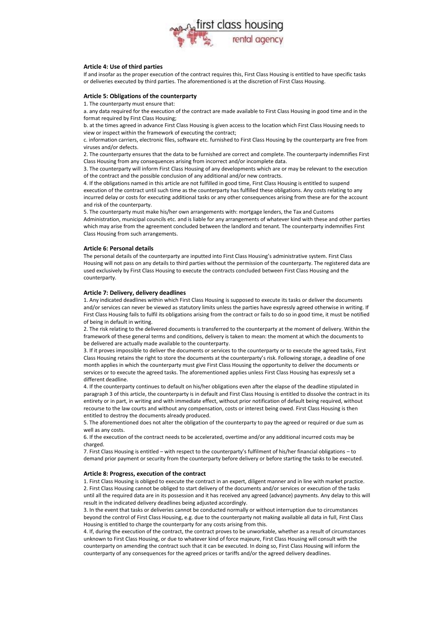

# **Article 4: Use of third parties**

If and insofar as the proper execution of the contract requires this, First Class Housing is entitled to have specific tasks or deliveries executed by third parties. The aforementioned is at the discretion of First Class Housing.

# **Article 5: Obligations of the counterparty**

1. The counterparty must ensure that:

a. any data required for the execution of the contract are made available to First Class Housing in good time and in the format required by First Class Housing;

b. at the times agreed in advance First Class Housing is given access to the location which First Class Housing needs to view or inspect within the framework of executing the contract;

c. information carriers, electronic files, software etc. furnished to First Class Housing by the counterparty are free from viruses and/or defects.

2. The counterparty ensures that the data to be furnished are correct and complete. The counterparty indemnifies First Class Housing from any consequences arising from incorrect and/or incomplete data.

3. The counterparty will inform First Class Housing of any developments which are or may be relevant to the execution of the contract and the possible conclusion of any additional and/or new contracts.

4. If the obligations named in this article are not fulfilled in good time, First Class Housing is entitled to suspend execution of the contract until such time as the counterparty has fulfilled these obligations. Any costs relating to any incurred delay or costs for executing additional tasks or any other consequences arising from these are for the account and risk of the counterparty.

5. The counterparty must make his/her own arrangements with: mortgage lenders, the Tax and Customs Administration, municipal councils etc. and is liable for any arrangements of whatever kind with these and other parties which may arise from the agreement concluded between the landlord and tenant. The counterparty indemnifies First Class Housing from such arrangements.

# **Article 6: Personal details**

The personal details of the counterparty are inputted into First Class Housing's administrative system. First Class Housing will not pass on any details to third parties without the permission of the counterparty. The registered data are used exclusively by First Class Housing to execute the contracts concluded between First Class Housing and the counterparty.

# **Article 7: Delivery, delivery deadlines**

1. Any indicated deadlines within which First Class Housing is supposed to execute its tasks or deliver the documents and/or services can never be viewed as statutory limits unless the parties have expressly agreed otherwise in writing. If First Class Housing fails to fulfil its obligations arising from the contract or fails to do so in good time, it must be notified of being in default in writing.

2. The risk relating to the delivered documents is transferred to the counterparty at the moment of delivery. Within the framework of these general terms and conditions, delivery is taken to mean: the moment at which the documents to be delivered are actually made available to the counterparty.

3. If it proves impossible to deliver the documents or services to the counterparty or to execute the agreed tasks, First Class Housing retains the right to store the documents at the counterparty's risk. Following storage, a deadline of one month applies in which the counterparty must give First Class Housing the opportunity to deliver the documents or services or to execute the agreed tasks. The aforementioned applies unless First Class Housing has expressly set a different deadline.

4. If the counterparty continues to default on his/her obligations even after the elapse of the deadline stipulated in paragraph 3 of this article, the counterparty is in default and First Class Housing is entitled to dissolve the contract in its entirety or in part, in writing and with immediate effect, without prior notification of default being required, without recourse to the law courts and without any compensation, costs or interest being owed. First Class Housing is then entitled to destroy the documents already produced.

5. The aforementioned does not alter the obligation of the counterparty to pay the agreed or required or due sum as well as any costs.

6. If the execution of the contract needs to be accelerated, overtime and/or any additional incurred costs may be charged.

7. First Class Housing is entitled – with respect to the counterparty's fulfilment of his/her financial obligations – to demand prior payment or security from the counterparty before delivery or before starting the tasks to be executed.

#### **Article 8: Progress, execution of the contract**

1. First Class Housing is obliged to execute the contract in an expert, diligent manner and in line with market practice. 2. First Class Housing cannot be obliged to start delivery of the documents and/or services or execution of the tasks until all the required data are in its possession and it has received any agreed (advance) payments. Any delay to this will result in the indicated delivery deadlines being adjusted accordingly.

3. In the event that tasks or deliveries cannot be conducted normally or without interruption due to circumstances beyond the control of First Class Housing, e.g. due to the counterparty not making available all data in full, First Class Housing is entitled to charge the counterparty for any costs arising from this.

4. If, during the execution of the contract, the contract proves to be unworkable, whether as a result of circumstances unknown to First Class Housing, or due to whatever kind of force majeure, First Class Housing will consult with the counterparty on amending the contract such that it can be executed. In doing so, First Class Housing will inform the counterparty of any consequences for the agreed prices or tariffs and/or the agreed delivery deadlines.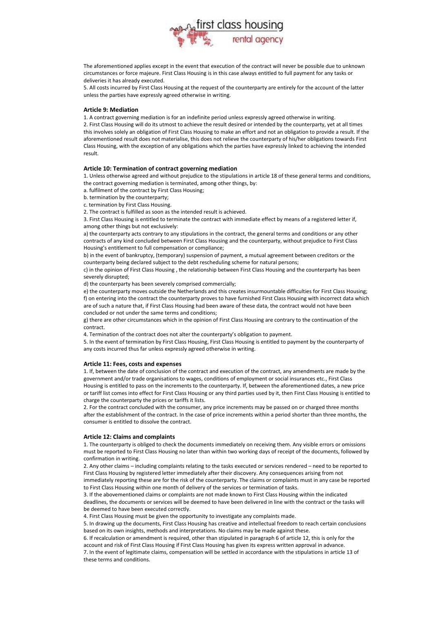

The aforementioned applies except in the event that execution of the contract will never be possible due to unknown circumstances or force majeure. First Class Housing is in this case always entitled to full payment for any tasks or deliveries it has already executed.

5. All costs incurred by First Class Housing at the request of the counterparty are entirely for the account of the latter unless the parties have expressly agreed otherwise in writing.

# **Article 9: Mediation**

1. A contract governing mediation is for an indefinite period unless expressly agreed otherwise in writing.

2. First Class Housing will do its utmost to achieve the result desired or intended by the counterparty, yet at all times this involves solely an obligation of First Class Housing to make an effort and not an obligation to provide a result. If the aforementioned result does not materialise, this does not relieve the counterparty of his/her obligations towards First Class Housing, with the exception of any obligations which the parties have expressly linked to achieving the intended result.

#### **Article 10: Termination of contract governing mediation**

1. Unless otherwise agreed and without prejudice to the stipulations in article 18 of these general terms and conditions, the contract governing mediation is terminated, among other things, by:

- a. fulfilment of the contract by First Class Housing;
- b. termination by the counterparty;
- c. termination by First Class Housing.

2. The contract is fulfilled as soon as the intended result is achieved.

3. First Class Housing is entitled to terminate the contract with immediate effect by means of a registered letter if, among other things but not exclusively:

a) the counterparty acts contrary to any stipulations in the contract, the general terms and conditions or any other contracts of any kind concluded between First Class Housing and the counterparty, without prejudice to First Class Housing's entitlement to full compensation or compliance;

b) in the event of bankruptcy, (temporary) suspension of payment, a mutual agreement between creditors or the counterparty being declared subject to the debt rescheduling scheme for natural persons;

c) in the opinion of First Class Housing , the relationship between First Class Housing and the counterparty has been severely disrupted;

d) the counterparty has been severely comprised commercially;

e) the counterparty moves outside the Netherlands and this creates insurmountable difficulties for First Class Housing; f) on entering into the contract the counterparty proves to have furnished First Class Housing with incorrect data which are of such a nature that, if First Class Housing had been aware of these data, the contract would not have been concluded or not under the same terms and conditions;

g) there are other circumstances which in the opinion of First Class Housing are contrary to the continuation of the contract.

4. Termination of the contract does not alter the counterparty's obligation to payment.

5. In the event of termination by First Class Housing, First Class Housing is entitled to payment by the counterparty of any costs incurred thus far unless expressly agreed otherwise in writing.

#### **Article 11: Fees, costs and expenses**

1. If, between the date of conclusion of the contract and execution of the contract, any amendments are made by the government and/or trade organisations to wages, conditions of employment or social insurances etc., First Class Housing is entitled to pass on the increments to the counterparty. If, between the aforementioned dates, a new price or tariff list comes into effect for First Class Housing or any third parties used by it, then First Class Housing is entitled to charge the counterparty the prices or tariffs it lists.

2. For the contract concluded with the consumer, any price increments may be passed on or charged three months after the establishment of the contract. In the case of price increments within a period shorter than three months, the consumer is entitled to dissolve the contract.

#### **Article 12: Claims and complaints**

1. The counterparty is obliged to check the documents immediately on receiving them. Any visible errors or omissions must be reported to First Class Housing no later than within two working days of receipt of the documents, followed by confirmation in writing.

2. Any other claims – including complaints relating to the tasks executed or services rendered – need to be reported to First Class Housing by registered letter immediately after their discovery. Any consequences arising from not immediately reporting these are for the risk of the counterparty. The claims or complaints must in any case be reported to First Class Housing within one month of delivery of the services or termination of tasks.

3. If the abovementioned claims or complaints are not made known to First Class Housing within the indicated deadlines, the documents or services will be deemed to have been delivered in line with the contract or the tasks will be deemed to have been executed correctly.

4. First Class Housing must be given the opportunity to investigate any complaints made.

5. In drawing up the documents, First Class Housing has creative and intellectual freedom to reach certain conclusions based on its own insights, methods and interpretations. No claims may be made against these.

6. If recalculation or amendment is required, other than stipulated in paragraph 6 of article 12, this is only for the account and risk of First Class Housing if First Class Housing has given its express written approval in advance. 7. In the event of legitimate claims, compensation will be settled in accordance with the stipulations in article 13 of

these terms and conditions.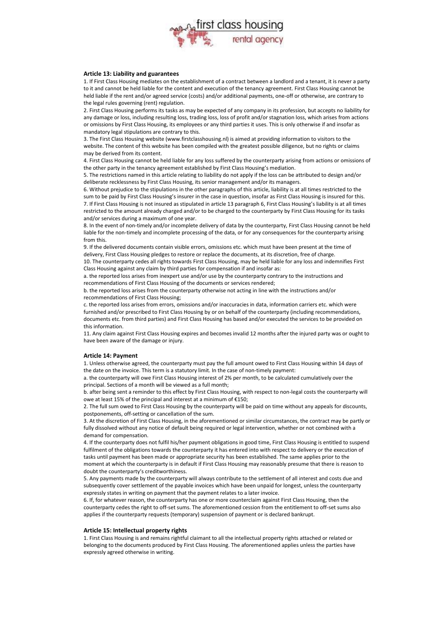

#### **Article 13: Liability and guarantees**

1. If First Class Housing mediates on the establishment of a contract between a landlord and a tenant, it is never a party to it and cannot be held liable for the content and execution of the tenancy agreement. First Class Housing cannot be held liable if the rent and/or agreed service (costs) and/or additional payments, one-off or otherwise, are contrary to the legal rules governing (rent) regulation.

2. First Class Housing performs its tasks as may be expected of any company in its profession, but accepts no liability for any damage or loss, including resulting loss, trading loss, loss of profit and/or stagnation loss, which arises from actions or omissions by First Class Housing, its employees or any third parties it uses. This is only otherwise if and insofar as mandatory legal stipulations are contrary to this.

3. The First Class Housing website (www.firstclasshousing.nl) is aimed at providing information to visitors to the website. The content of this website has been compiled with the greatest possible diligence, but no rights or claims may be derived from its content.

4. First Class Housing cannot be held liable for any loss suffered by the counterparty arising from actions or omissions of the other party in the tenancy agreement established by First Class Housing's mediation.

5. The restrictions named in this article relating to liability do not apply if the loss can be attributed to design and/or deliberate recklessness by First Class Housing, its senior management and/or its managers.

6. Without prejudice to the stipulations in the other paragraphs of this article, liability is at all times restricted to the sum to be paid by First Class Housing's insurer in the case in question, insofar as First Class Housing is insured for this. 7. If First Class Housing is not insured as stipulated in article 13 paragraph 6, First Class Housing's liability is at all times restricted to the amount already charged and/or to be charged to the counterparty by First Class Housing for its tasks and/or services during a maximum of one year.

8. In the event of non-timely and/or incomplete delivery of data by the counterparty, First Class Housing cannot be held liable for the non-timely and incomplete processing of the data, or for any consequences for the counterparty arising from this.

9. If the delivered documents contain visible errors, omissions etc. which must have been present at the time of delivery, First Class Housing pledges to restore or replace the documents, at its discretion, free of charge.

10. The counterparty cedes all rights towards First Class Housing, may be held liable for any loss and indemnifies First Class Housing against any claim by third parties for compensation if and insofar as:

a. the reported loss arises from inexpert use and/or use by the counterparty contrary to the instructions and recommendations of First Class Housing of the documents or services rendered;

b. the reported loss arises from the counterparty otherwise not acting in line with the instructions and/or recommendations of First Class Housing;

c. the reported loss arises from errors, omissions and/or inaccuracies in data, information carriers etc. which were furnished and/or prescribed to First Class Housing by or on behalf of the counterparty (including recommendations, documents etc. from third parties) and First Class Housing has based and/or executed the services to be provided on this information.

11. Any claim against First Class Housing expires and becomes invalid 12 months after the injured party was or ought to have been aware of the damage or injury.

# **Article 14: Payment**

1. Unless otherwise agreed, the counterparty must pay the full amount owed to First Class Housing within 14 days of the date on the invoice. This term is a statutory limit. In the case of non-timely payment:

a. the counterparty will owe First Class Housing interest of 2% per month, to be calculated cumulatively over the principal. Sections of a month will be viewed as a full month;

b. after being sent a reminder to this effect by First Class Housing, with respect to non-legal costs the counterparty will owe at least 15% of the principal and interest at a minimum of €150;

2. The full sum owed to First Class Housing by the counterparty will be paid on time without any appeals for discounts, postponements, off-setting or cancellation of the sum.

3. At the discretion of First Class Housing, in the aforementioned or similar circumstances, the contract may be partly or fully dissolved without any notice of default being required or legal intervention, whether or not combined with a demand for compensation.

4. If the counterparty does not fulfil his/her payment obligations in good time, First Class Housing is entitled to suspend fulfilment of the obligations towards the counterparty it has entered into with respect to delivery or the execution of tasks until payment has been made or appropriate security has been established. The same applies prior to the moment at which the counterparty is in default if First Class Housing may reasonably presume that there is reason to doubt the counterparty's creditworthiness.

5. Any payments made by the counterparty will always contribute to the settlement of all interest and costs due and subsequently cover settlement of the payable invoices which have been unpaid for longest, unless the counterparty expressly states in writing on payment that the payment relates to a later invoice.

6. If, for whatever reason, the counterparty has one or more counterclaim against First Class Housing, then the counterparty cedes the right to off-set sums. The aforementioned cession from the entitlement to off-set sums also applies if the counterparty requests (temporary) suspension of payment or is declared bankrupt.

# **Article 15: Intellectual property rights**

1. First Class Housing is and remains rightful claimant to all the intellectual property rights attached or related or belonging to the documents produced by First Class Housing. The aforementioned applies unless the parties have expressly agreed otherwise in writing.